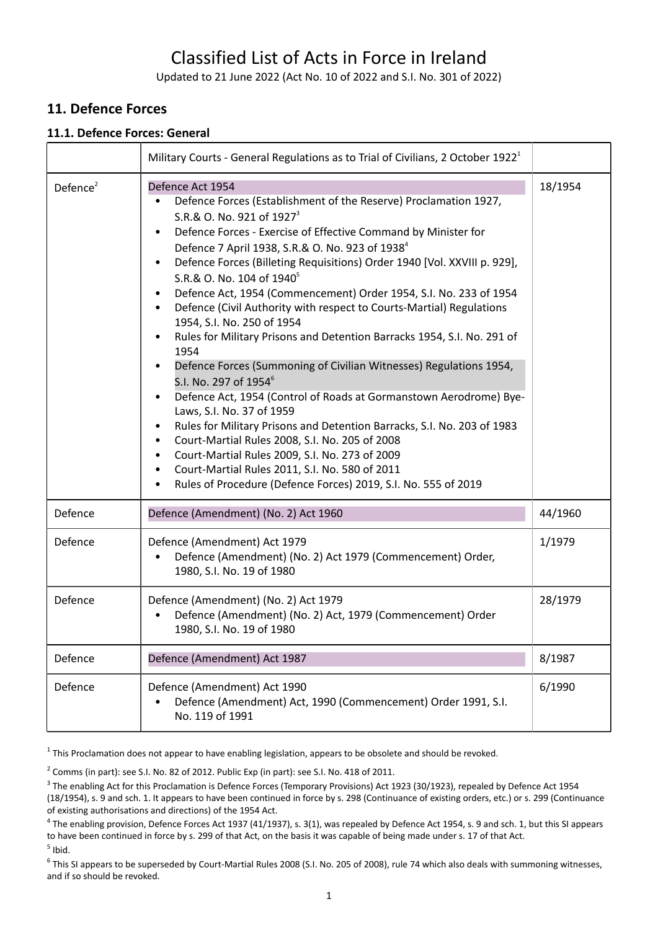# Classified List of Acts in Force in Ireland

Updated to 21 June 2022 (Act No. 10 of 2022 and S.I. No. 301 of 2022)

## **11. Defence Forces**

#### **11.1. Defence Forces: General**

|             | Military Courts - General Regulations as to Trial of Civilians, 2 October 1922 <sup>1</sup>                                                                                                                                                                                                                                                                                                                                                                                                                                                                                                                                                                                                                                                                                                                                                                                                                                                                                                                                                                                                                                                                                     |         |
|-------------|---------------------------------------------------------------------------------------------------------------------------------------------------------------------------------------------------------------------------------------------------------------------------------------------------------------------------------------------------------------------------------------------------------------------------------------------------------------------------------------------------------------------------------------------------------------------------------------------------------------------------------------------------------------------------------------------------------------------------------------------------------------------------------------------------------------------------------------------------------------------------------------------------------------------------------------------------------------------------------------------------------------------------------------------------------------------------------------------------------------------------------------------------------------------------------|---------|
| Defence $2$ | Defence Act 1954<br>Defence Forces (Establishment of the Reserve) Proclamation 1927,<br>S.R.& O. No. 921 of 1927 <sup>3</sup><br>Defence Forces - Exercise of Effective Command by Minister for<br>Defence 7 April 1938, S.R.& O. No. 923 of 1938 <sup>4</sup><br>Defence Forces (Billeting Requisitions) Order 1940 [Vol. XXVIII p. 929],<br>$\bullet$<br>S.R.& O. No. 104 of 1940 <sup>5</sup><br>Defence Act, 1954 (Commencement) Order 1954, S.I. No. 233 of 1954<br>Defence (Civil Authority with respect to Courts-Martial) Regulations<br>1954, S.I. No. 250 of 1954<br>Rules for Military Prisons and Detention Barracks 1954, S.I. No. 291 of<br>1954<br>Defence Forces (Summoning of Civilian Witnesses) Regulations 1954,<br>S.I. No. 297 of 1954 <sup>6</sup><br>Defence Act, 1954 (Control of Roads at Gormanstown Aerodrome) Bye-<br>Laws, S.I. No. 37 of 1959<br>Rules for Military Prisons and Detention Barracks, S.I. No. 203 of 1983<br>Court-Martial Rules 2008, S.I. No. 205 of 2008<br>Court-Martial Rules 2009, S.I. No. 273 of 2009<br>Court-Martial Rules 2011, S.I. No. 580 of 2011<br>Rules of Procedure (Defence Forces) 2019, S.I. No. 555 of 2019 | 18/1954 |
| Defence     | Defence (Amendment) (No. 2) Act 1960                                                                                                                                                                                                                                                                                                                                                                                                                                                                                                                                                                                                                                                                                                                                                                                                                                                                                                                                                                                                                                                                                                                                            | 44/1960 |
| Defence     | Defence (Amendment) Act 1979<br>Defence (Amendment) (No. 2) Act 1979 (Commencement) Order,<br>1980, S.I. No. 19 of 1980                                                                                                                                                                                                                                                                                                                                                                                                                                                                                                                                                                                                                                                                                                                                                                                                                                                                                                                                                                                                                                                         | 1/1979  |
| Defence     | Defence (Amendment) (No. 2) Act 1979<br>Defence (Amendment) (No. 2) Act, 1979 (Commencement) Order<br>1980, S.I. No. 19 of 1980                                                                                                                                                                                                                                                                                                                                                                                                                                                                                                                                                                                                                                                                                                                                                                                                                                                                                                                                                                                                                                                 | 28/1979 |
| Defence     | Defence (Amendment) Act 1987                                                                                                                                                                                                                                                                                                                                                                                                                                                                                                                                                                                                                                                                                                                                                                                                                                                                                                                                                                                                                                                                                                                                                    | 8/1987  |
| Defence     | Defence (Amendment) Act 1990<br>Defence (Amendment) Act, 1990 (Commencement) Order 1991, S.I.<br>No. 119 of 1991                                                                                                                                                                                                                                                                                                                                                                                                                                                                                                                                                                                                                                                                                                                                                                                                                                                                                                                                                                                                                                                                | 6/1990  |

 $^1$  This Proclamation does not appear to have enabling legislation, appears to be obsolete and should be revoked.

 $2$  Comms (in part): see S.I. No. 82 of 2012. Public Exp (in part): see S.I. No. 418 of 2011.

 $^4$  The enabling provision, Defence Forces Act 1937 (41/1937), s. 3(1), was repealed by Defence Act 1954, s. 9 and sch. 1, but this SI appears to have been continued in force by s. 299 of that Act, on the basis it was capable of being made under s. 17 of that Act.

 $<sup>5</sup>$  Ibid.</sup>

 $^6$  This SI appears to be superseded by Court-Martial Rules 2008 (S.I. No. 205 of 2008), rule 74 which also deals with summoning witnesses, and if so should be revoked.

<sup>&</sup>lt;sup>3</sup> The enabling Act for this Proclamation is Defence Forces (Temporary Provisions) Act 1923 (30/1923), repealed by Defence Act 1954 (18/1954), s. 9 and sch. 1. It appears to have been continued in force by s. 298 (Continuance of existing orders, etc.) or s. 299 (Continuance of existing authorisations and directions) of the 1954 Act.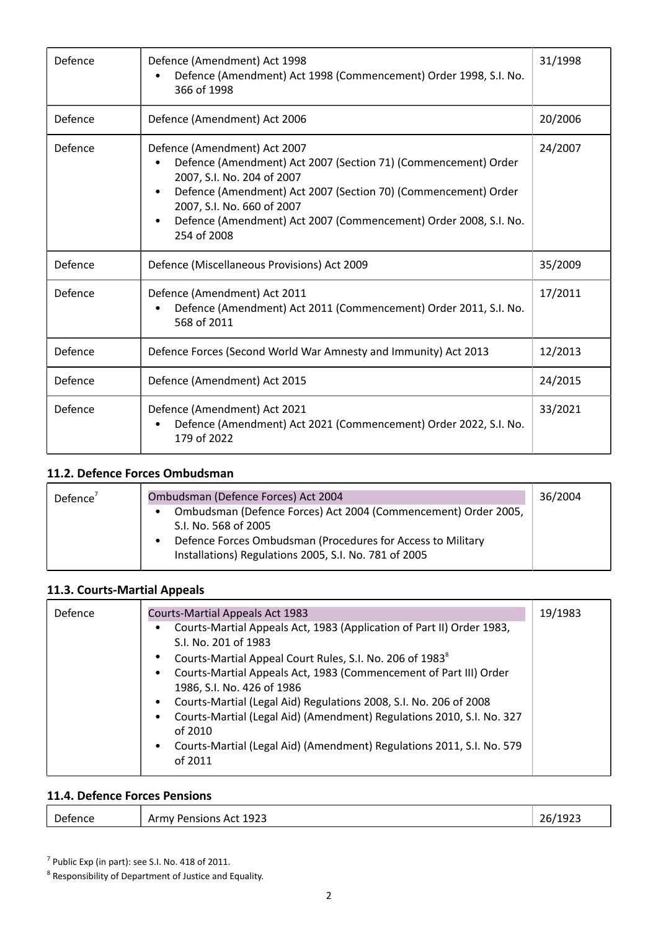| Defence | Defence (Amendment) Act 1998<br>Defence (Amendment) Act 1998 (Commencement) Order 1998, S.I. No.<br>366 of 1998                                                                                                                                                                                                 | 31/1998 |
|---------|-----------------------------------------------------------------------------------------------------------------------------------------------------------------------------------------------------------------------------------------------------------------------------------------------------------------|---------|
| Defence | Defence (Amendment) Act 2006                                                                                                                                                                                                                                                                                    | 20/2006 |
| Defence | Defence (Amendment) Act 2007<br>Defence (Amendment) Act 2007 (Section 71) (Commencement) Order<br>2007, S.I. No. 204 of 2007<br>Defence (Amendment) Act 2007 (Section 70) (Commencement) Order<br>2007, S.I. No. 660 of 2007<br>Defence (Amendment) Act 2007 (Commencement) Order 2008, S.I. No.<br>254 of 2008 | 24/2007 |
| Defence | Defence (Miscellaneous Provisions) Act 2009                                                                                                                                                                                                                                                                     | 35/2009 |
| Defence | Defence (Amendment) Act 2011<br>Defence (Amendment) Act 2011 (Commencement) Order 2011, S.I. No.<br>568 of 2011                                                                                                                                                                                                 | 17/2011 |
| Defence | Defence Forces (Second World War Amnesty and Immunity) Act 2013                                                                                                                                                                                                                                                 | 12/2013 |
| Defence | Defence (Amendment) Act 2015                                                                                                                                                                                                                                                                                    | 24/2015 |
| Defence | Defence (Amendment) Act 2021<br>Defence (Amendment) Act 2021 (Commencement) Order 2022, S.I. No.<br>٠<br>179 of 2022                                                                                                                                                                                            | 33/2021 |

#### **11.2. Defence Forces Ombudsman**

| Defence $7$ | Ombudsman (Defence Forces) Act 2004                                                                                                                   | 36/2004 |
|-------------|-------------------------------------------------------------------------------------------------------------------------------------------------------|---------|
|             | Ombudsman (Defence Forces) Act 2004 (Commencement) Order 2005,<br>S.I. No. 568 of 2005<br>Defence Forces Ombudsman (Procedures for Access to Military |         |
|             | Installations) Regulations 2005, S.I. No. 781 of 2005                                                                                                 |         |

# **11.3. Courts-Martial Appeals**

| Defence | <b>Courts-Martial Appeals Act 1983</b>                                         | 19/1983 |
|---------|--------------------------------------------------------------------------------|---------|
|         | Courts-Martial Appeals Act, 1983 (Application of Part II) Order 1983,          |         |
|         | S.I. No. 201 of 1983                                                           |         |
|         | Courts-Martial Appeal Court Rules, S.I. No. 206 of 1983 <sup>8</sup>           |         |
|         | Courts-Martial Appeals Act, 1983 (Commencement of Part III) Order              |         |
|         | 1986, S.I. No. 426 of 1986                                                     |         |
|         | Courts-Martial (Legal Aid) Regulations 2008, S.I. No. 206 of 2008<br>$\bullet$ |         |
|         | Courts-Martial (Legal Aid) (Amendment) Regulations 2010, S.I. No. 327          |         |
|         | of 2010                                                                        |         |
|         | Courts-Martial (Legal Aid) (Amendment) Regulations 2011, S.I. No. 579          |         |
|         | of 2011                                                                        |         |
|         |                                                                                |         |

# **11.4. Defence Forces Pensions**

| 26/1923<br>Act 1923<br>Army Pensions<br>Defence |  |
|-------------------------------------------------|--|
|-------------------------------------------------|--|

<sup>7</sup> Public Exp (in part): see S.I. No. 418 of 2011.<br><sup>8</sup> Responsibility of Department of Justice and Equality.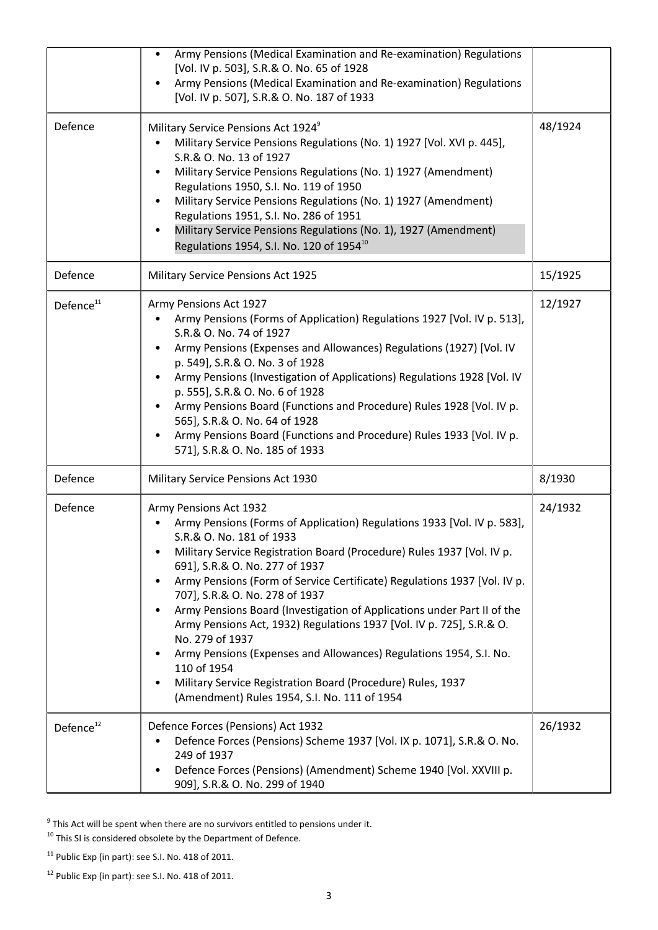|                       | Army Pensions (Medical Examination and Re-examination) Regulations<br>[Vol. IV p. 503], S.R.& O. No. 65 of 1928<br>Army Pensions (Medical Examination and Re-examination) Regulations<br>[Vol. IV p. 507], S.R.& O. No. 187 of 1933                                                                                                                                                                                                                                                                                                                                                                                                                                                                                               |         |
|-----------------------|-----------------------------------------------------------------------------------------------------------------------------------------------------------------------------------------------------------------------------------------------------------------------------------------------------------------------------------------------------------------------------------------------------------------------------------------------------------------------------------------------------------------------------------------------------------------------------------------------------------------------------------------------------------------------------------------------------------------------------------|---------|
| Defence               | Military Service Pensions Act 1924 <sup>9</sup><br>Military Service Pensions Regulations (No. 1) 1927 [Vol. XVI p. 445],<br>S.R.& O. No. 13 of 1927<br>Military Service Pensions Regulations (No. 1) 1927 (Amendment)<br>Regulations 1950, S.I. No. 119 of 1950<br>Military Service Pensions Regulations (No. 1) 1927 (Amendment)<br>Regulations 1951, S.I. No. 286 of 1951<br>Military Service Pensions Regulations (No. 1), 1927 (Amendment)<br>Regulations 1954, S.I. No. 120 of 1954 <sup>10</sup>                                                                                                                                                                                                                            | 48/1924 |
| Defence               | Military Service Pensions Act 1925                                                                                                                                                                                                                                                                                                                                                                                                                                                                                                                                                                                                                                                                                                | 15/1925 |
| Defence <sup>11</sup> | Army Pensions Act 1927<br>Army Pensions (Forms of Application) Regulations 1927 [Vol. IV p. 513],<br>S.R.& O. No. 74 of 1927<br>Army Pensions (Expenses and Allowances) Regulations (1927) [Vol. IV<br>p. 549], S.R.& O. No. 3 of 1928<br>Army Pensions (Investigation of Applications) Regulations 1928 [Vol. IV<br>p. 555], S.R.& O. No. 6 of 1928<br>Army Pensions Board (Functions and Procedure) Rules 1928 [Vol. IV p.<br>565], S.R.& O. No. 64 of 1928<br>Army Pensions Board (Functions and Procedure) Rules 1933 [Vol. IV p.<br>571], S.R.& O. No. 185 of 1933                                                                                                                                                           | 12/1927 |
| Defence               | Military Service Pensions Act 1930                                                                                                                                                                                                                                                                                                                                                                                                                                                                                                                                                                                                                                                                                                | 8/1930  |
| Defence               | Army Pensions Act 1932<br>Army Pensions (Forms of Application) Regulations 1933 [Vol. IV p. 583],<br>S.R.& O. No. 181 of 1933<br>Military Service Registration Board (Procedure) Rules 1937 [Vol. IV p.<br>691], S.R.& O. No. 277 of 1937<br>Army Pensions (Form of Service Certificate) Regulations 1937 [Vol. IV p.<br>707], S.R.& O. No. 278 of 1937<br>Army Pensions Board (Investigation of Applications under Part II of the<br>Army Pensions Act, 1932) Regulations 1937 [Vol. IV p. 725], S.R.& O.<br>No. 279 of 1937<br>Army Pensions (Expenses and Allowances) Regulations 1954, S.I. No.<br>110 of 1954<br>Military Service Registration Board (Procedure) Rules, 1937<br>(Amendment) Rules 1954, S.I. No. 111 of 1954 | 24/1932 |
| Defence <sup>12</sup> | Defence Forces (Pensions) Act 1932<br>Defence Forces (Pensions) Scheme 1937 [Vol. IX p. 1071], S.R.& O. No.<br>249 of 1937<br>Defence Forces (Pensions) (Amendment) Scheme 1940 [Vol. XXVIII p.<br>909], S.R.& O. No. 299 of 1940                                                                                                                                                                                                                                                                                                                                                                                                                                                                                                 | 26/1932 |

 $9$  This Act will be spent when there are no survivors entitled to pensions under it.

 $^{10}$  This SI is considered obsolete by the Department of Defence.

 $11$  Public Exp (in part): see S.I. No. 418 of 2011.

 $12$  Public Exp (in part): see S.I. No. 418 of 2011.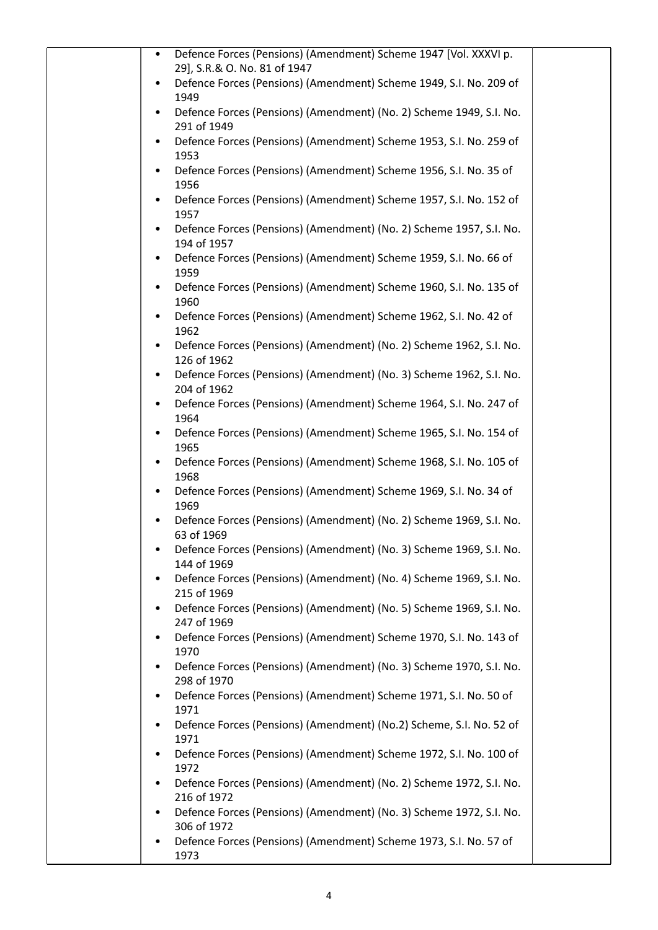| Defence Forces (Pensions) (Amendment) Scheme 1947 [Vol. XXXVI p.<br>$\bullet$<br>29], S.R.& O. No. 81 of 1947 |  |
|---------------------------------------------------------------------------------------------------------------|--|
| Defence Forces (Pensions) (Amendment) Scheme 1949, S.I. No. 209 of<br>1949                                    |  |
| Defence Forces (Pensions) (Amendment) (No. 2) Scheme 1949, S.I. No.<br>291 of 1949                            |  |
| Defence Forces (Pensions) (Amendment) Scheme 1953, S.I. No. 259 of<br>1953                                    |  |
| Defence Forces (Pensions) (Amendment) Scheme 1956, S.I. No. 35 of<br>1956                                     |  |
| Defence Forces (Pensions) (Amendment) Scheme 1957, S.I. No. 152 of<br>1957                                    |  |
| Defence Forces (Pensions) (Amendment) (No. 2) Scheme 1957, S.I. No.<br>194 of 1957                            |  |
| Defence Forces (Pensions) (Amendment) Scheme 1959, S.I. No. 66 of<br>1959                                     |  |
| Defence Forces (Pensions) (Amendment) Scheme 1960, S.I. No. 135 of<br>1960                                    |  |
| Defence Forces (Pensions) (Amendment) Scheme 1962, S.I. No. 42 of<br>1962                                     |  |
| Defence Forces (Pensions) (Amendment) (No. 2) Scheme 1962, S.I. No.<br>126 of 1962                            |  |
| Defence Forces (Pensions) (Amendment) (No. 3) Scheme 1962, S.I. No.<br>204 of 1962                            |  |
| Defence Forces (Pensions) (Amendment) Scheme 1964, S.I. No. 247 of<br>1964                                    |  |
| Defence Forces (Pensions) (Amendment) Scheme 1965, S.I. No. 154 of<br>1965                                    |  |
| Defence Forces (Pensions) (Amendment) Scheme 1968, S.I. No. 105 of<br>1968                                    |  |
| Defence Forces (Pensions) (Amendment) Scheme 1969, S.I. No. 34 of<br>1969                                     |  |
| Defence Forces (Pensions) (Amendment) (No. 2) Scheme 1969, S.I. No.<br>63 of 1969                             |  |
| Defence Forces (Pensions) (Amendment) (No. 3) Scheme 1969, S.I. No.<br>144 of 1969                            |  |
| Defence Forces (Pensions) (Amendment) (No. 4) Scheme 1969, S.I. No.<br>215 of 1969                            |  |
| Defence Forces (Pensions) (Amendment) (No. 5) Scheme 1969, S.I. No.<br>247 of 1969                            |  |
| Defence Forces (Pensions) (Amendment) Scheme 1970, S.I. No. 143 of<br>1970                                    |  |
| Defence Forces (Pensions) (Amendment) (No. 3) Scheme 1970, S.I. No.<br>298 of 1970                            |  |
| Defence Forces (Pensions) (Amendment) Scheme 1971, S.I. No. 50 of<br>1971                                     |  |
| Defence Forces (Pensions) (Amendment) (No.2) Scheme, S.I. No. 52 of<br>1971                                   |  |
| Defence Forces (Pensions) (Amendment) Scheme 1972, S.I. No. 100 of<br>1972                                    |  |
| Defence Forces (Pensions) (Amendment) (No. 2) Scheme 1972, S.I. No.<br>216 of 1972                            |  |
| Defence Forces (Pensions) (Amendment) (No. 3) Scheme 1972, S.I. No.<br>306 of 1972                            |  |
| Defence Forces (Pensions) (Amendment) Scheme 1973, S.I. No. 57 of<br>1973                                     |  |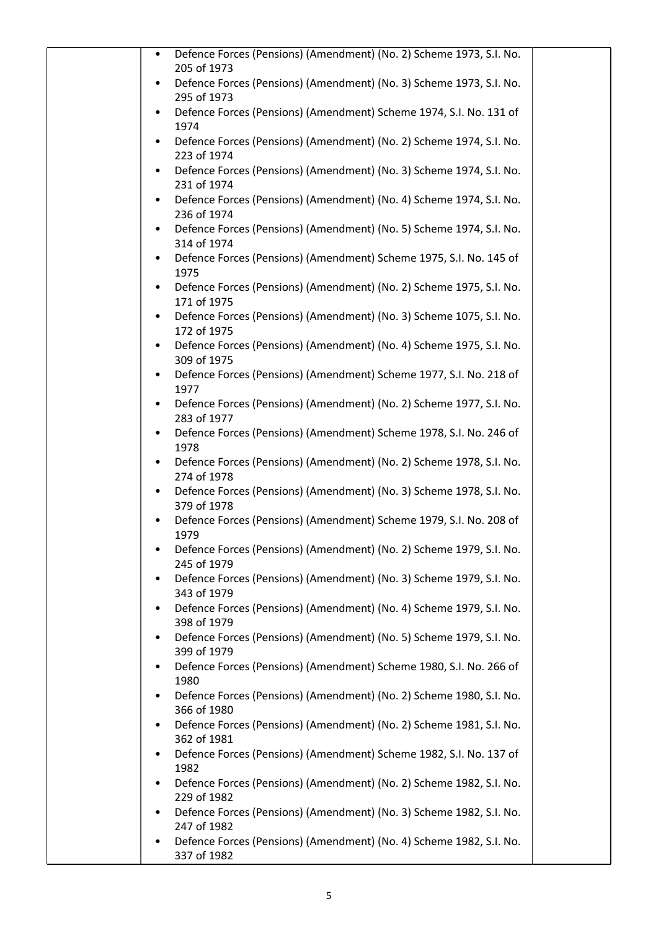| Defence Forces (Pensions) (Amendment) (No. 2) Scheme 1973, S.I. No.<br>$\bullet$<br>205 of 1973 |
|-------------------------------------------------------------------------------------------------|
| Defence Forces (Pensions) (Amendment) (No. 3) Scheme 1973, S.I. No.<br>295 of 1973              |
| Defence Forces (Pensions) (Amendment) Scheme 1974, S.I. No. 131 of<br>1974                      |
| Defence Forces (Pensions) (Amendment) (No. 2) Scheme 1974, S.I. No.<br>223 of 1974              |
| Defence Forces (Pensions) (Amendment) (No. 3) Scheme 1974, S.I. No.<br>٠<br>231 of 1974         |
| Defence Forces (Pensions) (Amendment) (No. 4) Scheme 1974, S.I. No.<br>236 of 1974              |
| Defence Forces (Pensions) (Amendment) (No. 5) Scheme 1974, S.I. No.<br>314 of 1974              |
| Defence Forces (Pensions) (Amendment) Scheme 1975, S.I. No. 145 of<br>1975                      |
| Defence Forces (Pensions) (Amendment) (No. 2) Scheme 1975, S.I. No.<br>171 of 1975              |
| Defence Forces (Pensions) (Amendment) (No. 3) Scheme 1075, S.I. No.<br>$\bullet$<br>172 of 1975 |
| Defence Forces (Pensions) (Amendment) (No. 4) Scheme 1975, S.I. No.<br>٠<br>309 of 1975         |
| Defence Forces (Pensions) (Amendment) Scheme 1977, S.I. No. 218 of<br>1977                      |
| Defence Forces (Pensions) (Amendment) (No. 2) Scheme 1977, S.I. No.<br>283 of 1977              |
| Defence Forces (Pensions) (Amendment) Scheme 1978, S.I. No. 246 of<br>٠<br>1978                 |
| Defence Forces (Pensions) (Amendment) (No. 2) Scheme 1978, S.I. No.<br>274 of 1978              |
| Defence Forces (Pensions) (Amendment) (No. 3) Scheme 1978, S.I. No.<br>379 of 1978              |
| Defence Forces (Pensions) (Amendment) Scheme 1979, S.I. No. 208 of<br>1979                      |
| Defence Forces (Pensions) (Amendment) (No. 2) Scheme 1979, S.I. No.<br>٠<br>245 of 1979         |
| Defence Forces (Pensions) (Amendment) (No. 3) Scheme 1979, S.I. No.<br>343 of 1979              |
| Defence Forces (Pensions) (Amendment) (No. 4) Scheme 1979, S.I. No.<br>398 of 1979              |
| Defence Forces (Pensions) (Amendment) (No. 5) Scheme 1979, S.I. No.<br>399 of 1979              |
| Defence Forces (Pensions) (Amendment) Scheme 1980, S.I. No. 266 of<br>1980                      |
| Defence Forces (Pensions) (Amendment) (No. 2) Scheme 1980, S.I. No.<br>366 of 1980              |
| Defence Forces (Pensions) (Amendment) (No. 2) Scheme 1981, S.I. No.<br>362 of 1981              |
| Defence Forces (Pensions) (Amendment) Scheme 1982, S.I. No. 137 of<br>1982                      |
| Defence Forces (Pensions) (Amendment) (No. 2) Scheme 1982, S.I. No.<br>229 of 1982              |
| Defence Forces (Pensions) (Amendment) (No. 3) Scheme 1982, S.I. No.<br>247 of 1982              |
| Defence Forces (Pensions) (Amendment) (No. 4) Scheme 1982, S.I. No.<br>337 of 1982              |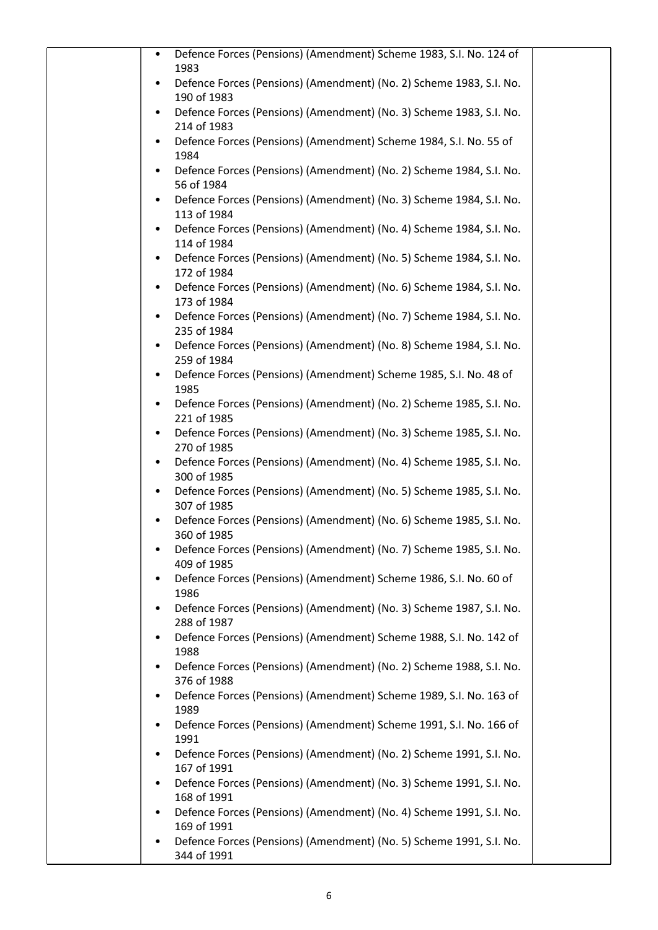| Defence Forces (Pensions) (Amendment) Scheme 1983, S.I. No. 124 of<br>1983              |
|-----------------------------------------------------------------------------------------|
| Defence Forces (Pensions) (Amendment) (No. 2) Scheme 1983, S.I. No.<br>190 of 1983      |
| Defence Forces (Pensions) (Amendment) (No. 3) Scheme 1983, S.I. No.<br>214 of 1983      |
| Defence Forces (Pensions) (Amendment) Scheme 1984, S.I. No. 55 of<br>1984               |
| Defence Forces (Pensions) (Amendment) (No. 2) Scheme 1984, S.I. No.<br>56 of 1984       |
| Defence Forces (Pensions) (Amendment) (No. 3) Scheme 1984, S.I. No.                     |
| 113 of 1984<br>Defence Forces (Pensions) (Amendment) (No. 4) Scheme 1984, S.I. No.<br>٠ |
| 114 of 1984<br>Defence Forces (Pensions) (Amendment) (No. 5) Scheme 1984, S.I. No.      |
| 172 of 1984<br>Defence Forces (Pensions) (Amendment) (No. 6) Scheme 1984, S.I. No.      |
| 173 of 1984<br>Defence Forces (Pensions) (Amendment) (No. 7) Scheme 1984, S.I. No.      |
| 235 of 1984<br>Defence Forces (Pensions) (Amendment) (No. 8) Scheme 1984, S.I. No.      |
| 259 of 1984<br>Defence Forces (Pensions) (Amendment) Scheme 1985, S.I. No. 48 of        |
| 1985<br>Defence Forces (Pensions) (Amendment) (No. 2) Scheme 1985, S.I. No.             |
| 221 of 1985<br>Defence Forces (Pensions) (Amendment) (No. 3) Scheme 1985, S.I. No.      |
| 270 of 1985<br>Defence Forces (Pensions) (Amendment) (No. 4) Scheme 1985, S.I. No.      |
| 300 of 1985<br>Defence Forces (Pensions) (Amendment) (No. 5) Scheme 1985, S.I. No.      |
| 307 of 1985<br>Defence Forces (Pensions) (Amendment) (No. 6) Scheme 1985, S.I. No.      |
| 360 of 1985<br>Defence Forces (Pensions) (Amendment) (No. 7) Scheme 1985, S.I. No.      |
| 409 of 1985<br>Defence Forces (Pensions) (Amendment) Scheme 1986, S.I. No. 60 of        |
| 1986<br>Defence Forces (Pensions) (Amendment) (No. 3) Scheme 1987, S.I. No.             |
| 288 of 1987<br>Defence Forces (Pensions) (Amendment) Scheme 1988, S.I. No. 142 of       |
| 1988<br>Defence Forces (Pensions) (Amendment) (No. 2) Scheme 1988, S.I. No.             |
| 376 of 1988<br>Defence Forces (Pensions) (Amendment) Scheme 1989, S.I. No. 163 of       |
| 1989<br>Defence Forces (Pensions) (Amendment) Scheme 1991, S.I. No. 166 of              |
| 1991<br>Defence Forces (Pensions) (Amendment) (No. 2) Scheme 1991, S.I. No.             |
| 167 of 1991<br>Defence Forces (Pensions) (Amendment) (No. 3) Scheme 1991, S.I. No.      |
| 168 of 1991<br>Defence Forces (Pensions) (Amendment) (No. 4) Scheme 1991, S.I. No.      |
| 169 of 1991<br>Defence Forces (Pensions) (Amendment) (No. 5) Scheme 1991, S.I. No.      |
| 344 of 1991                                                                             |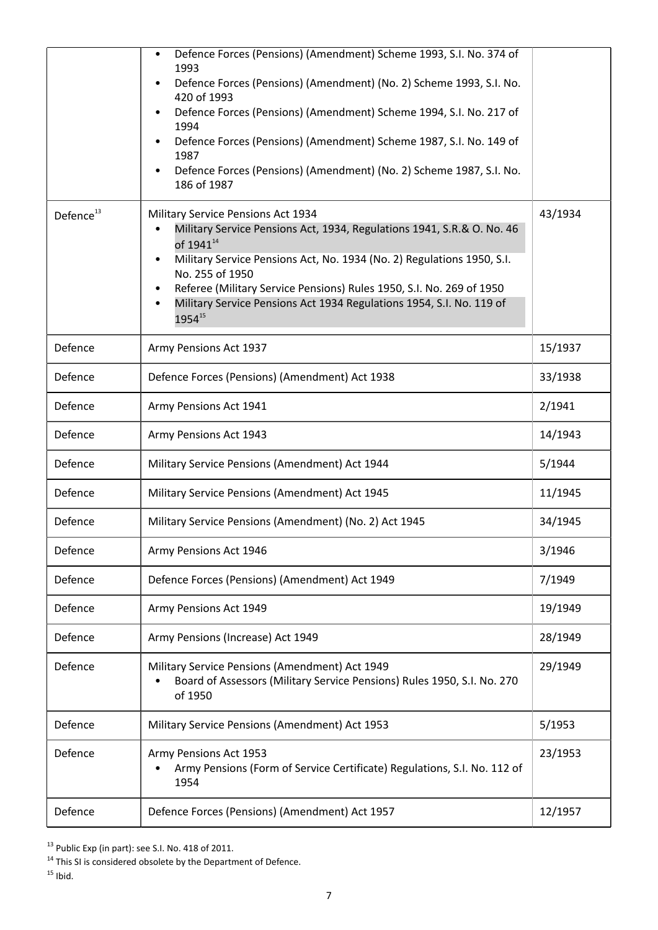|                       | Defence Forces (Pensions) (Amendment) Scheme 1993, S.I. No. 374 of<br>1993<br>Defence Forces (Pensions) (Amendment) (No. 2) Scheme 1993, S.I. No.<br>420 of 1993<br>Defence Forces (Pensions) (Amendment) Scheme 1994, S.I. No. 217 of<br>1994<br>Defence Forces (Pensions) (Amendment) Scheme 1987, S.I. No. 149 of<br>1987<br>Defence Forces (Pensions) (Amendment) (No. 2) Scheme 1987, S.I. No.<br>186 of 1987 |         |
|-----------------------|--------------------------------------------------------------------------------------------------------------------------------------------------------------------------------------------------------------------------------------------------------------------------------------------------------------------------------------------------------------------------------------------------------------------|---------|
| Defence <sup>13</sup> | Military Service Pensions Act 1934<br>Military Service Pensions Act, 1934, Regulations 1941, S.R.& O. No. 46<br>of $1941^{14}$<br>Military Service Pensions Act, No. 1934 (No. 2) Regulations 1950, S.I.<br>$\bullet$<br>No. 255 of 1950<br>Referee (Military Service Pensions) Rules 1950, S.I. No. 269 of 1950<br>Military Service Pensions Act 1934 Regulations 1954, S.I. No. 119 of<br>195415                 | 43/1934 |
| Defence               | Army Pensions Act 1937                                                                                                                                                                                                                                                                                                                                                                                             | 15/1937 |
| Defence               | Defence Forces (Pensions) (Amendment) Act 1938                                                                                                                                                                                                                                                                                                                                                                     | 33/1938 |
| Defence               | Army Pensions Act 1941                                                                                                                                                                                                                                                                                                                                                                                             | 2/1941  |
| Defence               | Army Pensions Act 1943                                                                                                                                                                                                                                                                                                                                                                                             | 14/1943 |
| Defence               | Military Service Pensions (Amendment) Act 1944                                                                                                                                                                                                                                                                                                                                                                     | 5/1944  |
| Defence               | Military Service Pensions (Amendment) Act 1945                                                                                                                                                                                                                                                                                                                                                                     | 11/1945 |
| Defence               | Military Service Pensions (Amendment) (No. 2) Act 1945                                                                                                                                                                                                                                                                                                                                                             | 34/1945 |
| Defence               | Army Pensions Act 1946                                                                                                                                                                                                                                                                                                                                                                                             | 3/1946  |
| Defence               | Defence Forces (Pensions) (Amendment) Act 1949                                                                                                                                                                                                                                                                                                                                                                     | 7/1949  |
| Defence               | Army Pensions Act 1949                                                                                                                                                                                                                                                                                                                                                                                             | 19/1949 |
| Defence               | Army Pensions (Increase) Act 1949                                                                                                                                                                                                                                                                                                                                                                                  | 28/1949 |
| Defence               | Military Service Pensions (Amendment) Act 1949<br>Board of Assessors (Military Service Pensions) Rules 1950, S.I. No. 270<br>of 1950                                                                                                                                                                                                                                                                               | 29/1949 |
| Defence               | Military Service Pensions (Amendment) Act 1953                                                                                                                                                                                                                                                                                                                                                                     | 5/1953  |
| Defence               | Army Pensions Act 1953<br>Army Pensions (Form of Service Certificate) Regulations, S.I. No. 112 of<br>1954                                                                                                                                                                                                                                                                                                         | 23/1953 |
| Defence               | Defence Forces (Pensions) (Amendment) Act 1957                                                                                                                                                                                                                                                                                                                                                                     | 12/1957 |

 $13$  Public Exp (in part): see S.I. No. 418 of 2011.

 $15$  Ibid.

 $14$  This SI is considered obsolete by the Department of Defence.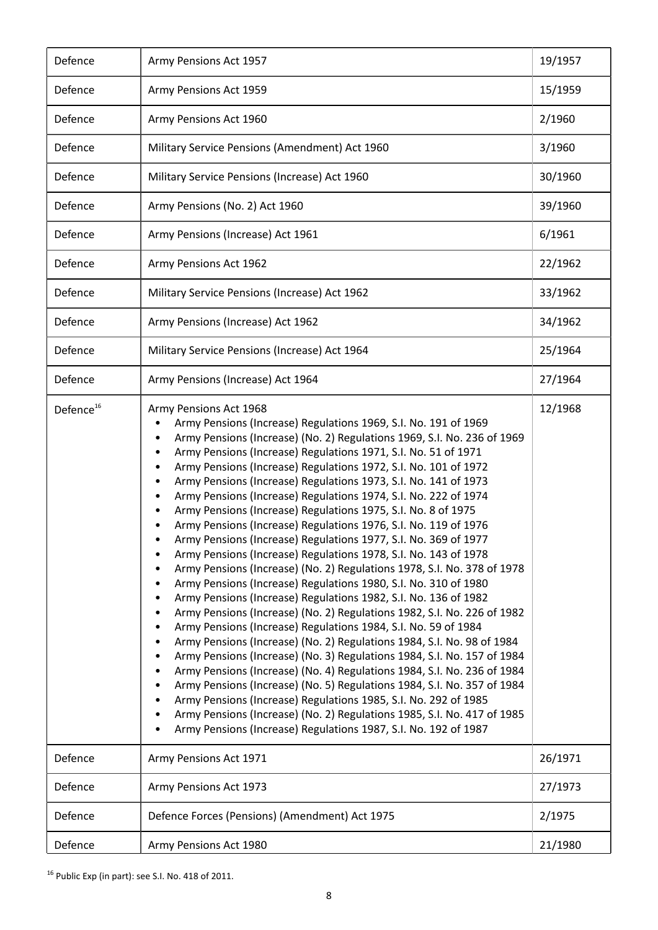| Defence               | Army Pensions Act 1957                                                                                                                                                                                                                                                                                                                                                                                                                                                                                                                                                                                                                                                                                                                                                                                                                                                                                                                                                                                                                                                                                                                                                                                                                                                                                                                                                                                                                                                                                                                                                                                                   | 19/1957 |
|-----------------------|--------------------------------------------------------------------------------------------------------------------------------------------------------------------------------------------------------------------------------------------------------------------------------------------------------------------------------------------------------------------------------------------------------------------------------------------------------------------------------------------------------------------------------------------------------------------------------------------------------------------------------------------------------------------------------------------------------------------------------------------------------------------------------------------------------------------------------------------------------------------------------------------------------------------------------------------------------------------------------------------------------------------------------------------------------------------------------------------------------------------------------------------------------------------------------------------------------------------------------------------------------------------------------------------------------------------------------------------------------------------------------------------------------------------------------------------------------------------------------------------------------------------------------------------------------------------------------------------------------------------------|---------|
| Defence               | Army Pensions Act 1959                                                                                                                                                                                                                                                                                                                                                                                                                                                                                                                                                                                                                                                                                                                                                                                                                                                                                                                                                                                                                                                                                                                                                                                                                                                                                                                                                                                                                                                                                                                                                                                                   | 15/1959 |
| Defence               | Army Pensions Act 1960                                                                                                                                                                                                                                                                                                                                                                                                                                                                                                                                                                                                                                                                                                                                                                                                                                                                                                                                                                                                                                                                                                                                                                                                                                                                                                                                                                                                                                                                                                                                                                                                   | 2/1960  |
| Defence               | Military Service Pensions (Amendment) Act 1960                                                                                                                                                                                                                                                                                                                                                                                                                                                                                                                                                                                                                                                                                                                                                                                                                                                                                                                                                                                                                                                                                                                                                                                                                                                                                                                                                                                                                                                                                                                                                                           | 3/1960  |
| Defence               | Military Service Pensions (Increase) Act 1960                                                                                                                                                                                                                                                                                                                                                                                                                                                                                                                                                                                                                                                                                                                                                                                                                                                                                                                                                                                                                                                                                                                                                                                                                                                                                                                                                                                                                                                                                                                                                                            | 30/1960 |
| Defence               | Army Pensions (No. 2) Act 1960                                                                                                                                                                                                                                                                                                                                                                                                                                                                                                                                                                                                                                                                                                                                                                                                                                                                                                                                                                                                                                                                                                                                                                                                                                                                                                                                                                                                                                                                                                                                                                                           | 39/1960 |
| Defence               | Army Pensions (Increase) Act 1961                                                                                                                                                                                                                                                                                                                                                                                                                                                                                                                                                                                                                                                                                                                                                                                                                                                                                                                                                                                                                                                                                                                                                                                                                                                                                                                                                                                                                                                                                                                                                                                        | 6/1961  |
| Defence               | Army Pensions Act 1962                                                                                                                                                                                                                                                                                                                                                                                                                                                                                                                                                                                                                                                                                                                                                                                                                                                                                                                                                                                                                                                                                                                                                                                                                                                                                                                                                                                                                                                                                                                                                                                                   | 22/1962 |
| Defence               | Military Service Pensions (Increase) Act 1962                                                                                                                                                                                                                                                                                                                                                                                                                                                                                                                                                                                                                                                                                                                                                                                                                                                                                                                                                                                                                                                                                                                                                                                                                                                                                                                                                                                                                                                                                                                                                                            | 33/1962 |
| Defence               | Army Pensions (Increase) Act 1962                                                                                                                                                                                                                                                                                                                                                                                                                                                                                                                                                                                                                                                                                                                                                                                                                                                                                                                                                                                                                                                                                                                                                                                                                                                                                                                                                                                                                                                                                                                                                                                        | 34/1962 |
| Defence               | Military Service Pensions (Increase) Act 1964                                                                                                                                                                                                                                                                                                                                                                                                                                                                                                                                                                                                                                                                                                                                                                                                                                                                                                                                                                                                                                                                                                                                                                                                                                                                                                                                                                                                                                                                                                                                                                            | 25/1964 |
| Defence               | Army Pensions (Increase) Act 1964                                                                                                                                                                                                                                                                                                                                                                                                                                                                                                                                                                                                                                                                                                                                                                                                                                                                                                                                                                                                                                                                                                                                                                                                                                                                                                                                                                                                                                                                                                                                                                                        | 27/1964 |
| Defence <sup>16</sup> | Army Pensions Act 1968<br>Army Pensions (Increase) Regulations 1969, S.I. No. 191 of 1969<br>Army Pensions (Increase) (No. 2) Regulations 1969, S.I. No. 236 of 1969<br>Army Pensions (Increase) Regulations 1971, S.I. No. 51 of 1971<br>Army Pensions (Increase) Regulations 1972, S.I. No. 101 of 1972<br>Army Pensions (Increase) Regulations 1973, S.I. No. 141 of 1973<br>Army Pensions (Increase) Regulations 1974, S.I. No. 222 of 1974<br>Army Pensions (Increase) Regulations 1975, S.I. No. 8 of 1975<br>Army Pensions (Increase) Regulations 1976, S.I. No. 119 of 1976<br>Army Pensions (Increase) Regulations 1977, S.I. No. 369 of 1977<br>Army Pensions (Increase) Regulations 1978, S.I. No. 143 of 1978<br>٠<br>Army Pensions (Increase) (No. 2) Regulations 1978, S.I. No. 378 of 1978<br>Army Pensions (Increase) Regulations 1980, S.I. No. 310 of 1980<br>Army Pensions (Increase) Regulations 1982, S.I. No. 136 of 1982<br>Army Pensions (Increase) (No. 2) Regulations 1982, S.I. No. 226 of 1982<br>Army Pensions (Increase) Regulations 1984, S.I. No. 59 of 1984<br>Army Pensions (Increase) (No. 2) Regulations 1984, S.I. No. 98 of 1984<br>Army Pensions (Increase) (No. 3) Regulations 1984, S.I. No. 157 of 1984<br>Army Pensions (Increase) (No. 4) Regulations 1984, S.I. No. 236 of 1984<br>Army Pensions (Increase) (No. 5) Regulations 1984, S.I. No. 357 of 1984<br>Army Pensions (Increase) Regulations 1985, S.I. No. 292 of 1985<br>Army Pensions (Increase) (No. 2) Regulations 1985, S.I. No. 417 of 1985<br>Army Pensions (Increase) Regulations 1987, S.I. No. 192 of 1987 | 12/1968 |
| Defence               | Army Pensions Act 1971                                                                                                                                                                                                                                                                                                                                                                                                                                                                                                                                                                                                                                                                                                                                                                                                                                                                                                                                                                                                                                                                                                                                                                                                                                                                                                                                                                                                                                                                                                                                                                                                   | 26/1971 |
| Defence               | Army Pensions Act 1973                                                                                                                                                                                                                                                                                                                                                                                                                                                                                                                                                                                                                                                                                                                                                                                                                                                                                                                                                                                                                                                                                                                                                                                                                                                                                                                                                                                                                                                                                                                                                                                                   | 27/1973 |
| Defence               | Defence Forces (Pensions) (Amendment) Act 1975                                                                                                                                                                                                                                                                                                                                                                                                                                                                                                                                                                                                                                                                                                                                                                                                                                                                                                                                                                                                                                                                                                                                                                                                                                                                                                                                                                                                                                                                                                                                                                           | 2/1975  |
| Defence               | Army Pensions Act 1980                                                                                                                                                                                                                                                                                                                                                                                                                                                                                                                                                                                                                                                                                                                                                                                                                                                                                                                                                                                                                                                                                                                                                                                                                                                                                                                                                                                                                                                                                                                                                                                                   | 21/1980 |

<sup>16</sup> Public Exp (in part): see S.I. No. 418 of 2011.